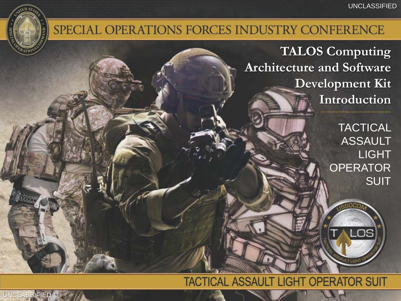### SPECIAL OPERATIONS FORCES INDUSTRY CONFERENCE

**TALOS Computing Architecture and Software Development Kit Introduction**

> **TACTICAL ASSAULT** LIGHT **OPERATOR SUIT**

> > OS

#### **TACTICAL ASSAULT LIGHT OPERATOR SUIT**

UNCLASSIFIED UNCLASSIFIED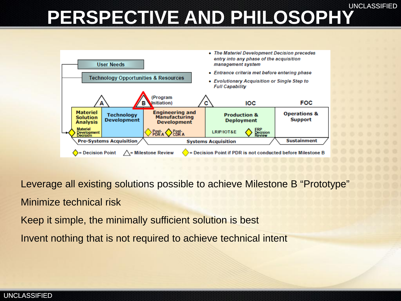UNCLASSIFIED

## **PERSPECTIVE AND PHILOSOPHY**



Leverage all existing solutions possible to achieve Milestone B "Prototype" Minimize technical risk

Keep it simple, the minimally sufficient solution is best

Invent nothing that is not required to achieve technical intent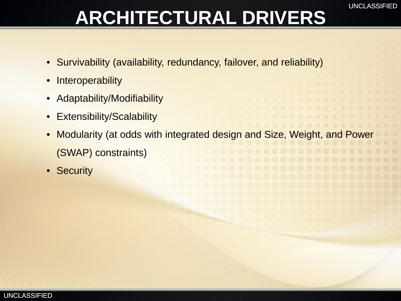## **ARCHITECTURAL DRIVERS**

- Survivability (availability, redundancy, failover, and reliability)
- **Interoperability**
- Adaptability/Modifiability
- **Extensibility/Scalability**
- Modularity (at odds with integrated design and Size, Weight, and Power (SWAP) constraints)
- Security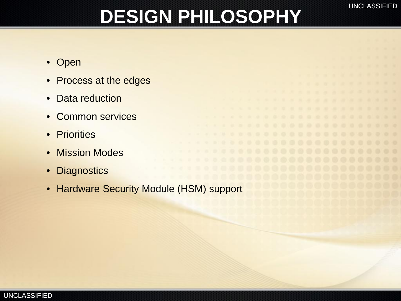## **DESIGN PHILOSOPHY**

- Open
- Process at the edges
- Data reduction
- Common services
- Priorities
- Mission Modes
- **Diagnostics**
- Hardware Security Module (HSM) support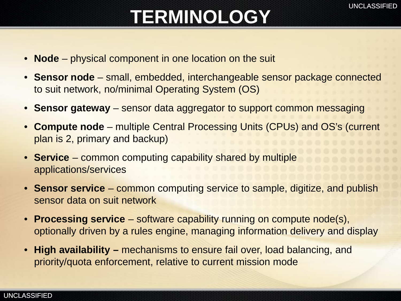## **TERMINOLOGY**

- **Node** physical component in one location on the suit
- **Sensor node**  small, embedded, interchangeable sensor package connected to suit network, no/minimal Operating System (OS)
- **Sensor gateway** sensor data aggregator to support common messaging
- **Compute node** multiple Central Processing Units (CPUs) and OS's (current plan is 2, primary and backup)
- **Service** common computing capability shared by multiple applications/services
- **Sensor service**  common computing service to sample, digitize, and publish sensor data on suit network
- **Processing service**  software capability running on compute node(s), optionally driven by a rules engine, managing information delivery and display
- **High availability –** mechanisms to ensure fail over, load balancing, and priority/quota enforcement, relative to current mission mode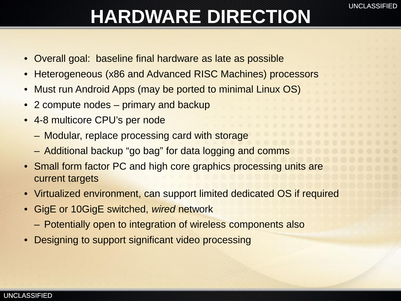## **HARDWARE DIRECTION**

- Overall goal: baseline final hardware as late as possible
- Heterogeneous (x86 and Advanced RISC Machines) processors
- Must run Android Apps (may be ported to minimal Linux OS)
- 2 compute nodes primary and backup
- 4-8 multicore CPU's per node
	- Modular, replace processing card with storage
	- Additional backup "go bag" for data logging and comms
- Small form factor PC and high core graphics processing units are current targets
- Virtualized environment, can support limited dedicated OS if required
- GigE or 10GigE switched, *wired* network
	- Potentially open to integration of wireless components also
- Designing to support significant video processing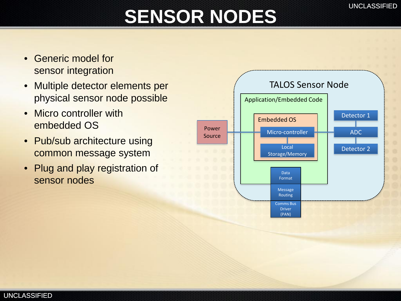## **SENSOR NODES**

- Generic model for sensor integration
- Multiple detector elements per physical sensor node possible
- Micro controller with embedded OS
- Pub/sub architecture using common message system
- Plug and play registration of sensor nodes

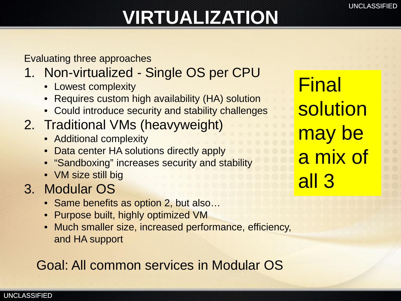## **VIRTUALIZATION**

Evaluating three approaches

- 1. Non-virtualized Single OS per CPU
	- Lowest complexity
	- Requires custom high availability (HA) solution
	- Could introduce security and stability challenges
- 2. Traditional VMs (heavyweight)
	- Additional complexity
	- Data center HA solutions directly apply
	- "Sandboxing" increases security and stability
	- VM size still big
- 3. Modular OS
	- Same benefits as option 2, but also...
	- Purpose built, highly optimized VM
	- Much smaller size, increased performance, efficiency, and HA support

Goal: All common services in Modular OS

**Final** solution may be a mix of all 3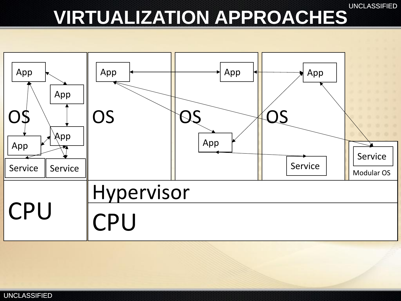# **VIRTUALIZATION APPROACHES**

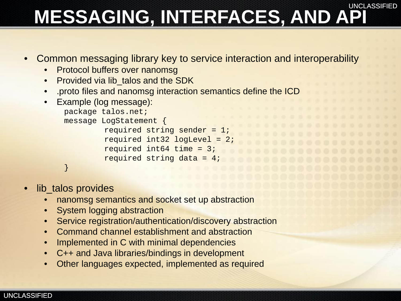#### UNCLASSIFIED **MESSAGING, INTERFACES, AND API**

- Common messaging library key to service interaction and interoperability
	- **Protocol buffers over nanomsg**
	- Provided via lib talos and the SDK
	- .proto files and nanomsg interaction semantics define the ICD
	- Example (log message):

```
package talos.net;
message LogStatement {
         required string sender = 1;
         required int32 logLevel = 2;
         required int64 time = 3;
         required string data = 4;
}
```
- lib\_talos provides
	- nanomsg semantics and socket set up abstraction
	- **System logging abstraction**
	- Service registration/authentication/discovery abstraction
	- Command channel establishment and abstraction
	- Implemented in C with minimal dependencies
	- C++ and Java libraries/bindings in development
	- Other languages expected, implemented as required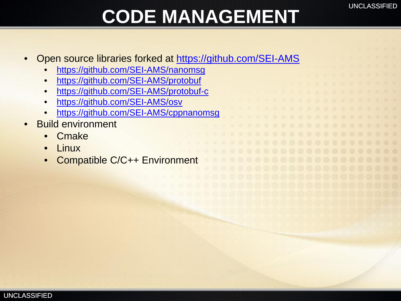## **CODE MANAGEMENT**

- Open source libraries forked at <https://github.com/SEI-AMS>
	- <https://github.com/SEI-AMS/nanomsg>
	- <https://github.com/SEI-AMS/protobuf>
	- <https://github.com/SEI-AMS/protobuf-c>
	- <https://github.com/SEI-AMS/osv>
	- <https://github.com/SEI-AMS/cppnanomsg>
- Build environment
	- Cmake
	- Linux
	- Compatible C/C++ Environment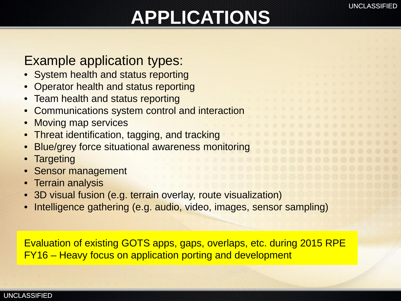## **APPLICATIONS**

### Example application types:

- **System health and status reporting**
- Operator health and status reporting
- Team health and status reporting
- Communications system control and interaction
- Moving map services
- **Threat identification, tagging, and tracking**
- Blue/grey force situational awareness monitoring
- **Targeting**
- **Sensor management**
- **Terrain analysis**
- 3D visual fusion (e.g. terrain overlay, route visualization)
- Intelligence gathering (e.g. audio, video, images, sensor sampling)

Evaluation of existing GOTS apps, gaps, overlaps, etc. during 2015 RPE FY16 – Heavy focus on application porting and development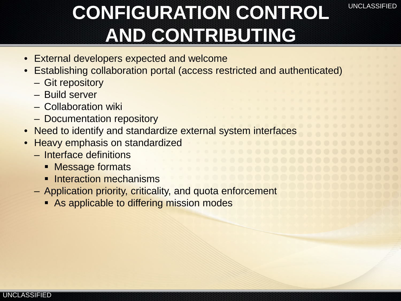## **CONFIGURATION CONTROL AND CONTRIBUTING**

UNCLASSIFIED

- **External developers expected and welcome**
- Establishing collaboration portal (access restricted and authenticated)
	- Git repository
	- Build server
	- Collaboration wiki
	- Documentation repository
- Need to identify and standardize external system interfaces
- Heavy emphasis on standardized
	- Interface definitions
		- **Message formats**
		- **Interaction mechanisms**
	- Application priority, criticality, and quota enforcement
		- **As applicable to differing mission modes**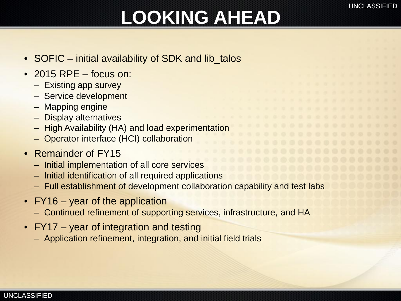## **LOOKING AHEAD**

- SOFIC initial availability of SDK and lib\_talos
- 2015 RPE focus on:
	- Existing app survey
	- Service development
	- Mapping engine
	- Display alternatives
	- High Availability (HA) and load experimentation
	- Operator interface (HCI) collaboration
- Remainder of FY15
	- Initial implementation of all core services
	- Initial identification of all required applications
	- Full establishment of development collaboration capability and test labs
- FY16 year of the application
	- Continued refinement of supporting services, infrastructure, and HA
- FY17 year of integration and testing
	- Application refinement, integration, and initial field trials